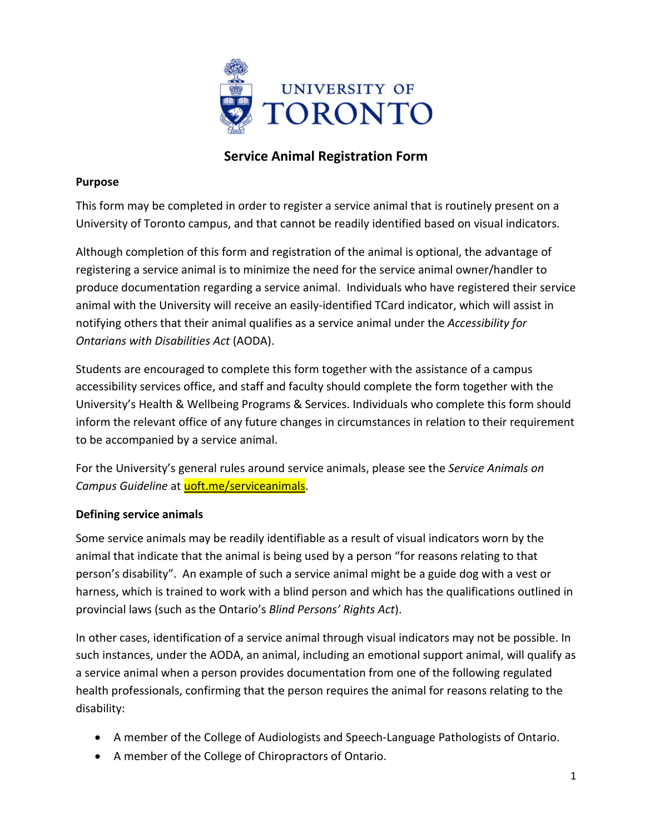

# **Service Animal Registration Form**

### **Purpose**

This form may be completed in order to register a service animal that is routinely present on a University of Toronto campus, and that cannot be readily identified based on visual indicators.

Although completion of this form and registration of the animal is optional, the advantage of registering a service animal is to minimize the need for the service animal owner/handler to produce documentation regarding a service animal. Individuals who have registered their service animal with the University will receive an easily-identified TCard indicator, which will assist in notifying others that their animal qualifies as a service animal under the *Accessibility for Ontarians with Disabilities Act* (AODA).

Students are encouraged to complete this form together with the assistance of a campus accessibility services office, and staff and faculty should complete the form together with the University's Health & Wellbeing Programs & Services. Individuals who complete this form should inform the relevant office of any future changes in circumstances in relation to their requirement to be accompanied by a service animal.

For the University's general rules around service animals, please see the *Service Animals on*  Campus Guideline at [uoft.me/serviceanimals.](http://uoft.me/serviceanimals)

## **Defining service animals**

Some service animals may be readily identifiable as a result of visual indicators worn by the animal that indicate that the animal is being used by a person "for reasons relating to that person's disability". An example of such a service animal might be a guide dog with a vest or harness, which is trained to work with a blind person and which has the qualifications outlined in provincial laws (such as the Ontario's *[Blind Persons' Rights Act](https://www.ontario.ca/laws/statute/90b07)*).

In other cases, identification of a service animal through visual indicators may not be possible. In such instances, [under the AODA](https://www.ontario.ca/laws/regulation/110191?search=degree#BK149), an animal, including an emotional support animal, will qualify as a service animal when a person provides documentation from one of the following regulated health professionals, confirming that the person requires the animal for reasons relating to the disability:

- A member of the College of Audiologists and Speech-Language Pathologists of Ontario.
- A member of the College of Chiropractors of Ontario.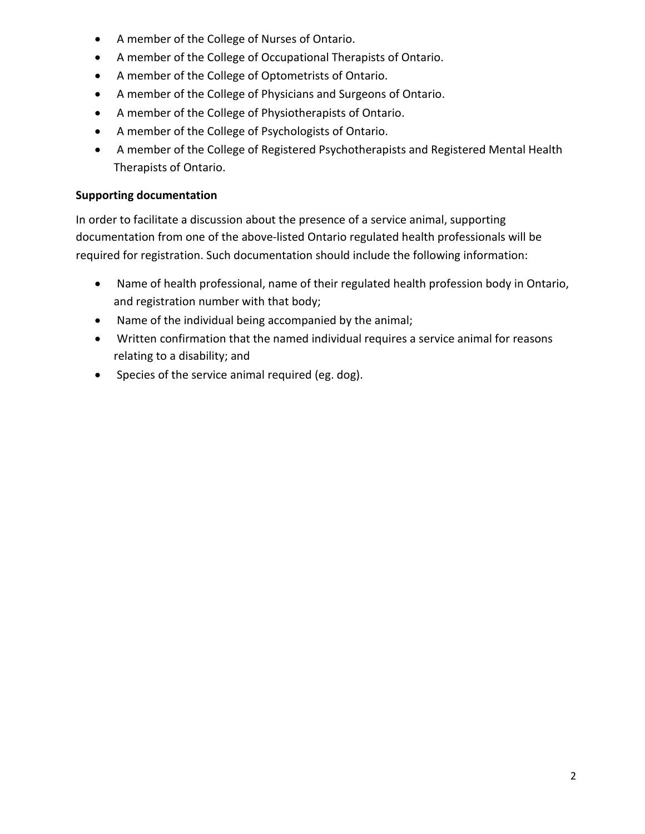- A member of the College of Nurses of Ontario.
- A member of the College of Occupational Therapists of Ontario.
- A member of the College of Optometrists of Ontario.
- A member of the College of Physicians and Surgeons of Ontario.
- A member of the College of Physiotherapists of Ontario.
- A member of the College of Psychologists of Ontario.
- A member of the College of Registered Psychotherapists and Registered Mental Health Therapists of Ontario.

## **Supporting documentation**

In order to facilitate a discussion about the presence of a service animal, supporting documentation from one of the above-listed Ontario regulated health professionals will be required for registration. Such documentation should include the following information:

- Name of health professional, name of their regulated health profession body in Ontario, and registration number with that body;
- Name of the individual being accompanied by the animal;
- Written confirmation that the named individual requires a service animal for reasons relating to a disability; and
- Species of the service animal required (eg. dog).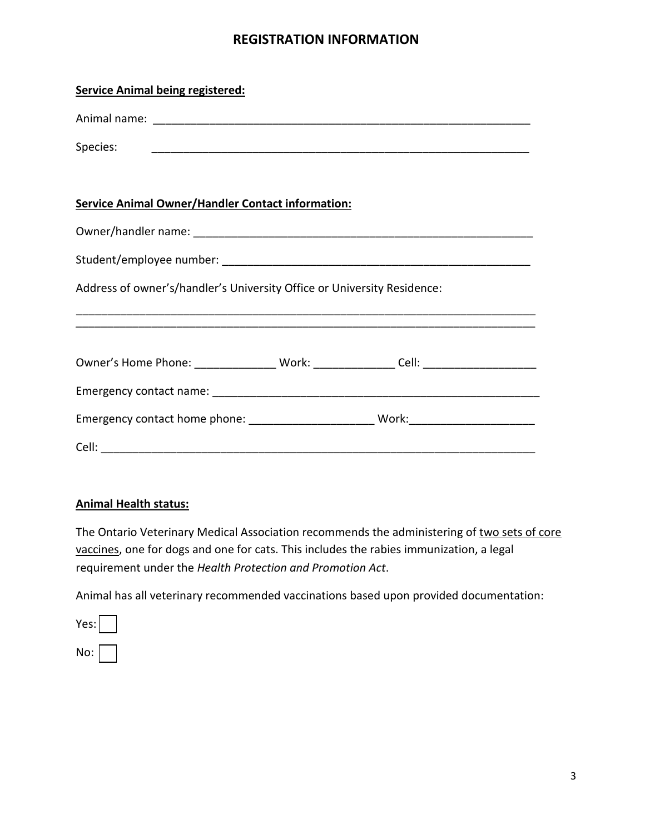## **REGISTRATION INFORMATION**

| <b>Service Animal being registered:</b>                                          |  |  |
|----------------------------------------------------------------------------------|--|--|
|                                                                                  |  |  |
|                                                                                  |  |  |
|                                                                                  |  |  |
| <b>Service Animal Owner/Handler Contact information:</b>                         |  |  |
|                                                                                  |  |  |
|                                                                                  |  |  |
| Address of owner's/handler's University Office or University Residence:          |  |  |
|                                                                                  |  |  |
|                                                                                  |  |  |
| Owner's Home Phone: ________________ Work: _______________ Cell: _______________ |  |  |
|                                                                                  |  |  |
|                                                                                  |  |  |
|                                                                                  |  |  |

#### **Animal Health status:**

[The Ontario Veterinary Medical Association recommends the administering of two sets of core](https://www.ovma.org/pet-owners/basic-pet-care/pet-health-101/) vaccines, one for dogs and one for cats. This includes the rabies immunization, a legal requirement under the *Health Protection and Promotion Act*.

Animal has all veterinary recommended vaccinations based upon provided documentation:

| Yes: |  |
|------|--|
| No:  |  |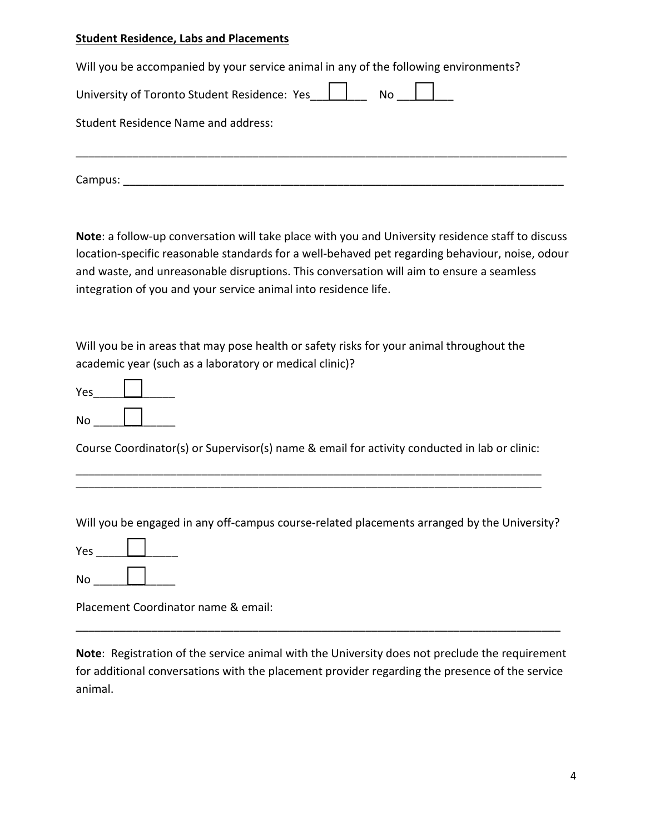#### **Student Residence, Labs and Placements**

| Will you be accompanied by your service animal in any of the following environments? |  |  |
|--------------------------------------------------------------------------------------|--|--|
| University of Toronto Student Residence: Yes   No                                    |  |  |
| <b>Student Residence Name and address:</b>                                           |  |  |
| Campus:                                                                              |  |  |

**Note**: a follow-up conversation will take place with you and University residence staff to discuss location-specific reasonable standards for a well-behaved pet regarding behaviour, noise, odour and waste, and unreasonable disruptions. This conversation will aim to ensure a seamless integration of you and your service animal into residence life.

Will you be in areas that may pose health or safety risks for your animal throughout the academic year (such as a laboratory or medical clinic)?

| Yes |  |
|-----|--|
| No  |  |

Course Coordinator(s) or Supervisor(s) name & email for activity conducted in lab or clinic:

\_\_\_\_\_\_\_\_\_\_\_\_\_\_\_\_\_\_\_\_\_\_\_\_\_\_\_\_\_\_\_\_\_\_\_\_\_\_\_\_\_\_\_\_\_\_\_\_\_\_\_\_\_\_\_\_\_\_\_\_\_\_\_\_\_\_\_\_\_\_\_\_\_\_ \_\_\_\_\_\_\_\_\_\_\_\_\_\_\_\_\_\_\_\_\_\_\_\_\_\_\_\_\_\_\_\_\_\_\_\_\_\_\_\_\_\_\_\_\_\_\_\_\_\_\_\_\_\_\_\_\_\_\_\_\_\_\_\_\_\_\_\_\_\_\_\_\_\_

Will you be engaged in any off-campus course-related placements arranged by the University?

\_\_\_\_\_\_\_\_\_\_\_\_\_ Yes

No \_\_\_\_\_\_<u>\_\_\_\_\_\_</u>\_\_\_\_\_\_

Placement Coordinator name & email:

**Note**: Registration of the service animal with the University does not preclude the requirement for additional conversations with the placement provider regarding the presence of the service animal.

\_\_\_\_\_\_\_\_\_\_\_\_\_\_\_\_\_\_\_\_\_\_\_\_\_\_\_\_\_\_\_\_\_\_\_\_\_\_\_\_\_\_\_\_\_\_\_\_\_\_\_\_\_\_\_\_\_\_\_\_\_\_\_\_\_\_\_\_\_\_\_\_\_\_\_\_\_